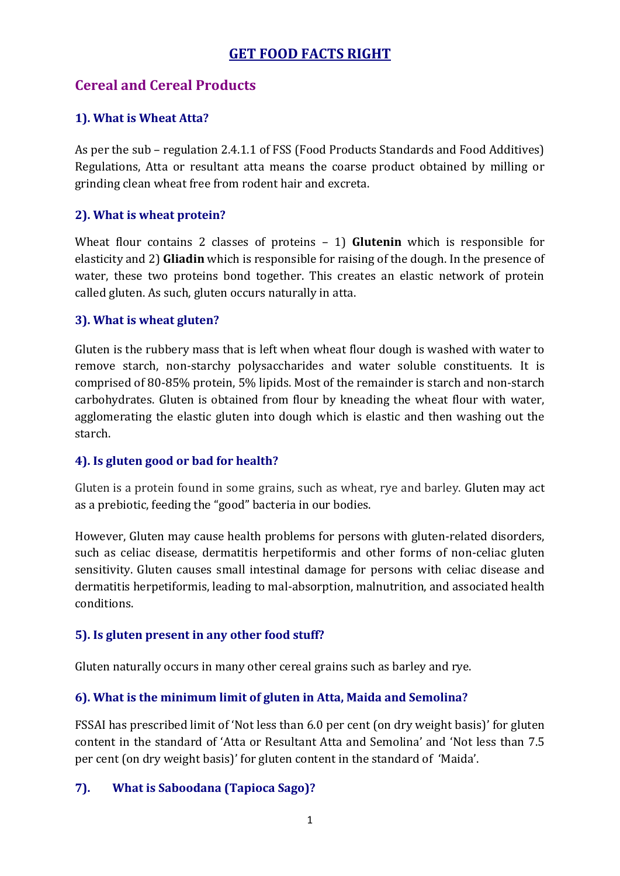# **GET FOOD FACTS RIGHT**

# **Cereal and Cereal Products**

#### **1). What is Wheat Atta?**

As per the sub – regulation 2.4.1.1 of FSS (Food Products Standards and Food Additives) Regulations, Atta or resultant atta means the coarse product obtained by milling or grinding clean wheat free from rodent hair and excreta.

#### **2). What is wheat protein?**

Wheat flour contains 2 classes of proteins – 1) **Glutenin** which is responsible for elasticity and 2) **Gliadin** which is responsible for raising of the dough. In the presence of water, these two proteins bond together. This creates an elastic network of protein called gluten. As such, gluten occurs naturally in atta.

#### **3). What is wheat gluten?**

Gluten is the rubbery mass that is left when wheat flour dough is washed with water to remove starch, non-starchy polysaccharides and water soluble constituents. It is comprised of 80-85% protein, 5% lipids. Most of the remainder is starch and non-starch carbohydrates. Gluten is obtained from flour by kneading the wheat flour with water, agglomerating the elastic gluten into dough which is elastic and then washing out the starch.

### **4). Is gluten good or bad for health?**

Gluten is a protein found in some grains, such as wheat, rye and barley. Gluten may act as a prebiotic, feeding the "good" bacteria in our bodies.

However, Gluten may cause health problems for persons with gluten-related disorders, such as celiac disease, dermatitis herpetiformis and other forms of non-celiac gluten sensitivity. Gluten causes small intestinal damage for persons with celiac disease and dermatitis herpetiformis, leading to mal-absorption, malnutrition, and associated health conditions.

### **5). Is gluten present in any other food stuff?**

Gluten naturally occurs in many other cereal grains such as barley and rye.

### **6). What is the minimum limit of gluten in Atta, Maida and Semolina?**

FSSAI has prescribed limit of 'Not less than 6.0 per cent (on dry weight basis)' for gluten content in the standard of 'Atta or Resultant Atta and Semolina' and 'Not less than 7.5 per cent (on dry weight basis)' for gluten content in the standard of 'Maida'.

#### **7). What is Saboodana (Tapioca Sago)?**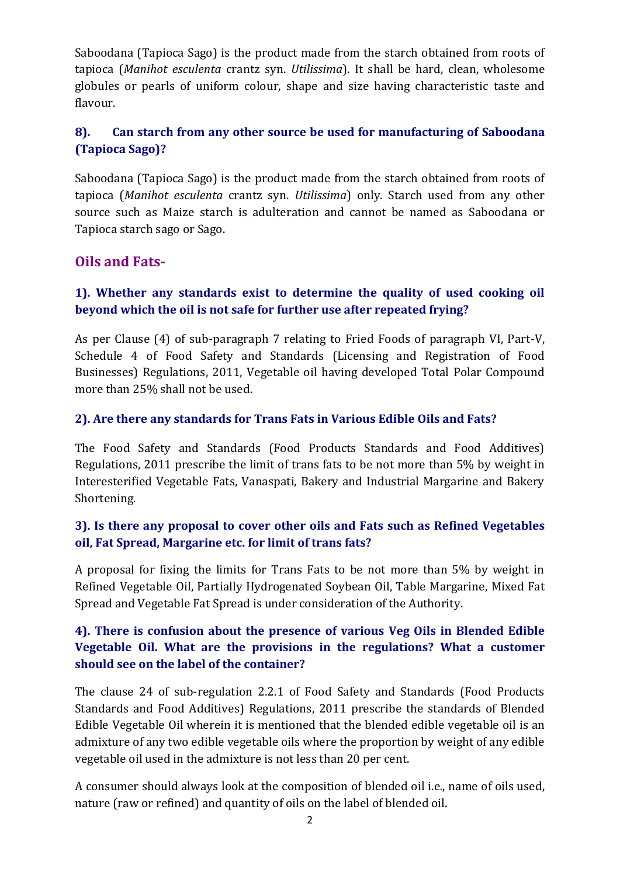Saboodana (Tapioca Sago) is the product made from the starch obtained from roots of tapioca (*Manihot esculenta* crantz syn. *Utilissima*). It shall be hard, clean, wholesome globules or pearls of uniform colour, shape and size having characteristic taste and flavour.

# **8). Can starch from any other source be used for manufacturing of Saboodana (Tapioca Sago)?**

Saboodana (Tapioca Sago) is the product made from the starch obtained from roots of tapioca (*Manihot esculenta* crantz syn. *Utilissima*) only. Starch used from any other source such as Maize starch is adulteration and cannot be named as Saboodana or Tapioca starch sago or Sago.

# **Oils and Fats-**

## **1). Whether any standards exist to determine the quality of used cooking oil beyond which the oil is not safe for further use after repeated frying?**

As per Clause (4) of sub-paragraph 7 relating to Fried Foods of paragraph VI, Part-V, Schedule 4 of Food Safety and Standards (Licensing and Registration of Food Businesses) Regulations, 2011, Vegetable oil having developed Total Polar Compound more than 25% shall not be used.

## **2). Are there any standards for Trans Fats in Various Edible Oils and Fats?**

The Food Safety and Standards (Food Products Standards and Food Additives) Regulations, 2011 prescribe the limit of trans fats to be not more than 5% by weight in Interesterified Vegetable Fats, Vanaspati, Bakery and Industrial Margarine and Bakery Shortening.

## **3). Is there any proposal to cover other oils and Fats such as Refined Vegetables oil, Fat Spread, Margarine etc. for limit of trans fats?**

A proposal for fixing the limits for Trans Fats to be not more than 5% by weight in Refined Vegetable Oil, Partially Hydrogenated Soybean Oil, Table Margarine, Mixed Fat Spread and Vegetable Fat Spread is under consideration of the Authority.

## **4). There is confusion about the presence of various Veg Oils in Blended Edible Vegetable Oil. What are the provisions in the regulations? What a customer should see on the label of the container?**

The clause 24 of sub-regulation 2.2.1 of Food Safety and Standards (Food Products Standards and Food Additives) Regulations, 2011 prescribe the standards of Blended Edible Vegetable Oil wherein it is mentioned that the blended edible vegetable oil is an admixture of any two edible vegetable oils where the proportion by weight of any edible vegetable oil used in the admixture is not less than 20 per cent.

A consumer should always look at the composition of blended oil i.e., name of oils used, nature (raw or refined) and quantity of oils on the label of blended oil.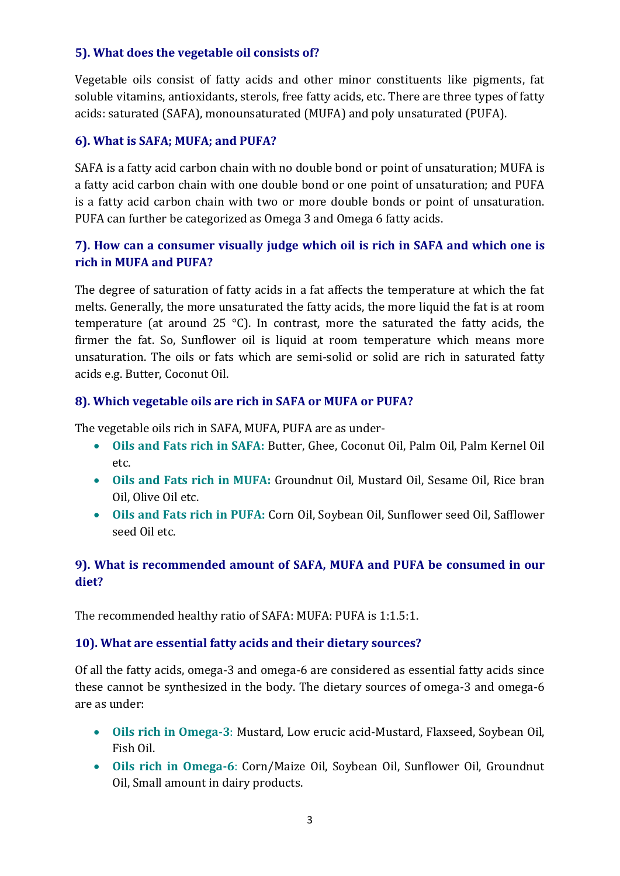#### **5). What does the vegetable oil consists of?**

Vegetable oils consist of fatty acids and other minor constituents like pigments, fat soluble vitamins, antioxidants, sterols, free fatty acids, etc. There are three types of fatty acids: saturated (SAFA), monounsaturated (MUFA) and poly unsaturated (PUFA).

#### **6). What is SAFA; MUFA; and PUFA?**

SAFA is a fatty acid carbon chain with no double bond or point of unsaturation; MUFA is a fatty acid carbon chain with one double bond or one point of unsaturation; and PUFA is a fatty acid carbon chain with two or more double bonds or point of unsaturation. PUFA can further be categorized as Omega 3 and Omega 6 fatty acids.

## **7). How can a consumer visually judge which oil is rich in SAFA and which one is rich in MUFA and PUFA?**

The degree of saturation of fatty acids in a fat affects the temperature at which the fat melts. Generally, the more unsaturated the fatty acids, the more liquid the fat is at room temperature (at around 25 °C). In contrast, more the saturated the fatty acids, the firmer the fat. So, Sunflower oil is liquid at room temperature which means more unsaturation. The oils or fats which are semi-solid or solid are rich in saturated fatty acids e.g. Butter, Coconut Oil.

#### **8). Which vegetable oils are rich in SAFA or MUFA or PUFA?**

The vegetable oils rich in SAFA, MUFA, PUFA are as under-

- **Oils and Fats rich in SAFA:** Butter, Ghee, Coconut Oil, Palm Oil, Palm Kernel Oil etc.
- **Oils and Fats rich in MUFA:** Groundnut Oil, Mustard Oil, Sesame Oil, Rice bran Oil, Olive Oil etc.
- **Oils and Fats rich in PUFA:** Corn Oil, Soybean Oil, Sunflower seed Oil, Safflower seed Oil etc.

### **9). What is recommended amount of SAFA, MUFA and PUFA be consumed in our diet?**

The recommended healthy ratio of SAFA: MUFA: PUFA is 1:1.5:1.

#### **10). What are essential fatty acids and their dietary sources?**

Of all the fatty acids, omega-3 and omega-6 are considered as essential fatty acids since these cannot be synthesized in the body. The dietary sources of omega-3 and omega-6 are as under:

- **Oils rich in Omega-3**: Mustard, Low erucic acid-Mustard, Flaxseed, Soybean Oil, Fish Oil.
- **Oils rich in Omega-6**: Corn/Maize Oil, Soybean Oil, Sunflower Oil, Groundnut Oil, Small amount in dairy products.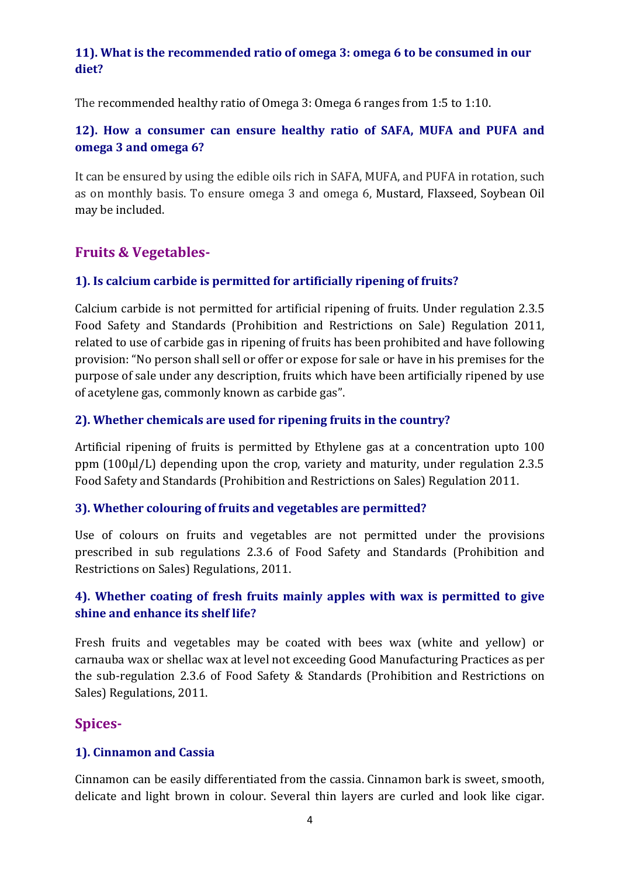### **11). What is the recommended ratio of omega 3: omega 6 to be consumed in our diet?**

The recommended healthy ratio of Omega 3: Omega 6 ranges from 1:5 to 1:10.

## **12). How a consumer can ensure healthy ratio of SAFA, MUFA and PUFA and omega 3 and omega 6?**

It can be ensured by using the edible oils rich in SAFA, MUFA, and PUFA in rotation, such as on monthly basis. To ensure omega 3 and omega 6, Mustard, Flaxseed, Soybean Oil may be included.

# **Fruits & Vegetables-**

### **1). Is calcium carbide is permitted for artificially ripening of fruits?**

Calcium carbide is not permitted for artificial ripening of fruits. Under regulation 2.3.5 Food Safety and Standards (Prohibition and Restrictions on Sale) Regulation 2011, related to use of carbide gas in ripening of fruits has been prohibited and have following provision: "No person shall sell or offer or expose for sale or have in his premises for the purpose of sale under any description, fruits which have been artificially ripened by use of acetylene gas, commonly known as carbide gas".

### **2). Whether chemicals are used for ripening fruits in the country?**

Artificial ripening of fruits is permitted by Ethylene gas at a concentration upto 100 ppm (100µl/L) depending upon the crop, variety and maturity, under regulation 2.3.5 Food Safety and Standards (Prohibition and Restrictions on Sales) Regulation 2011.

### **3). Whether colouring of fruits and vegetables are permitted?**

Use of colours on fruits and vegetables are not permitted under the provisions prescribed in sub regulations 2.3.6 of Food Safety and Standards (Prohibition and Restrictions on Sales) Regulations, 2011.

## **4). Whether coating of fresh fruits mainly apples with wax is permitted to give shine and enhance its shelf life?**

Fresh fruits and vegetables may be coated with bees wax (white and yellow) or carnauba wax or shellac wax at level not exceeding Good Manufacturing Practices as per the sub-regulation 2.3.6 of Food Safety & Standards (Prohibition and Restrictions on Sales) Regulations, 2011.

## **Spices-**

### **1). Cinnamon and Cassia**

Cinnamon can be easily differentiated from the cassia. Cinnamon bark is sweet, smooth, delicate and light brown in colour. Several thin layers are curled and look like cigar.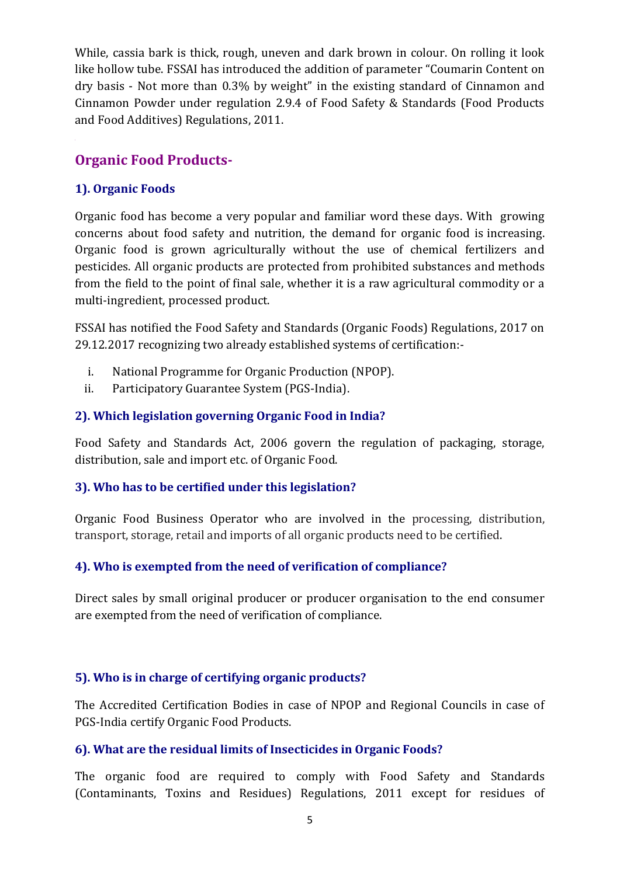While, cassia bark is thick, rough, uneven and dark brown in colour. On rolling it look like hollow tube. FSSAI has introduced the addition of parameter "Coumarin Content on dry basis - Not more than 0.3% by weight" in the existing standard of Cinnamon and Cinnamon Powder under regulation 2.9.4 of Food Safety & Standards (Food Products and Food Additives) Regulations, 2011.

# **Organic Food Products-**

## **1). Organic Foods**

Organic food has become a very popular and familiar word these days. With growing concerns about food safety and nutrition, the demand for organic food is increasing. Organic food is grown agriculturally without the use of chemical fertilizers and pesticides. All organic products are protected from prohibited substances and methods from the field to the point of final sale, whether it is a raw agricultural commodity or a multi-ingredient, processed product.

FSSAI has notified the Food Safety and Standards (Organic Foods) Regulations, 2017 on 29.12.2017 recognizing two already established systems of certification:-

- i. National Programme for Organic Production (NPOP).
- ii. Participatory Guarantee System (PGS-India).

## **2). Which legislation governing Organic Food in India?**

Food Safety and Standards Act, 2006 govern the regulation of packaging, storage, distribution, sale and import etc. of Organic Food.

### **3). Who has to be certified under this legislation?**

Organic Food Business Operator who are involved in the processing, distribution, transport, storage, retail and imports of all organic products need to be certified.

### **4). Who is exempted from the need of verification of compliance?**

Direct sales by small original producer or producer organisation to the end consumer are exempted from the need of verification of compliance.

### **5). Who is in charge of certifying organic products?**

The Accredited Certification Bodies in case of NPOP and Regional Councils in case of PGS-India certify Organic Food Products.

### **6). What are the residual limits of Insecticides in Organic Foods?**

The organic food are required to comply with Food Safety and Standards (Contaminants, Toxins and Residues) Regulations, 2011 except for residues of